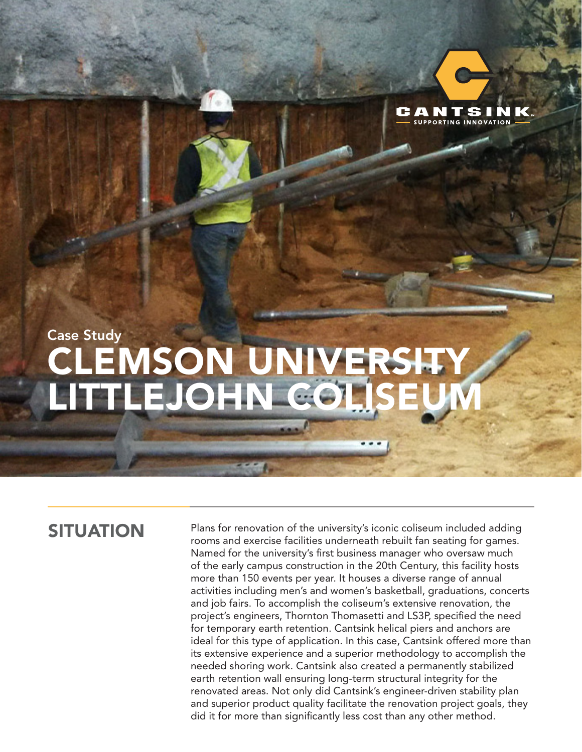

# CLEMSON UNIVERSITY LITTLEJOHN COLISEUM Case Study

#### **SITUATION**

Plans for renovation of the university's iconic coliseum included adding rooms and exercise facilities underneath rebuilt fan seating for games. Named for the university's first business manager who oversaw much of the early campus construction in the 20th Century, this facility hosts more than 150 events per year. It houses a diverse range of annual activities including men's and women's basketball, graduations, concerts and job fairs. To accomplish the coliseum's extensive renovation, the project's engineers, Thornton Thomasetti and LS3P, specified the need for temporary earth retention. Cantsink helical piers and anchors are ideal for this type of application. In this case, Cantsink offered more than its extensive experience and a superior methodology to accomplish the needed shoring work. Cantsink also created a permanently stabilized earth retention wall ensuring long-term structural integrity for the renovated areas. Not only did Cantsink's engineer-driven stability plan and superior product quality facilitate the renovation project goals, they did it for more than significantly less cost than any other method.